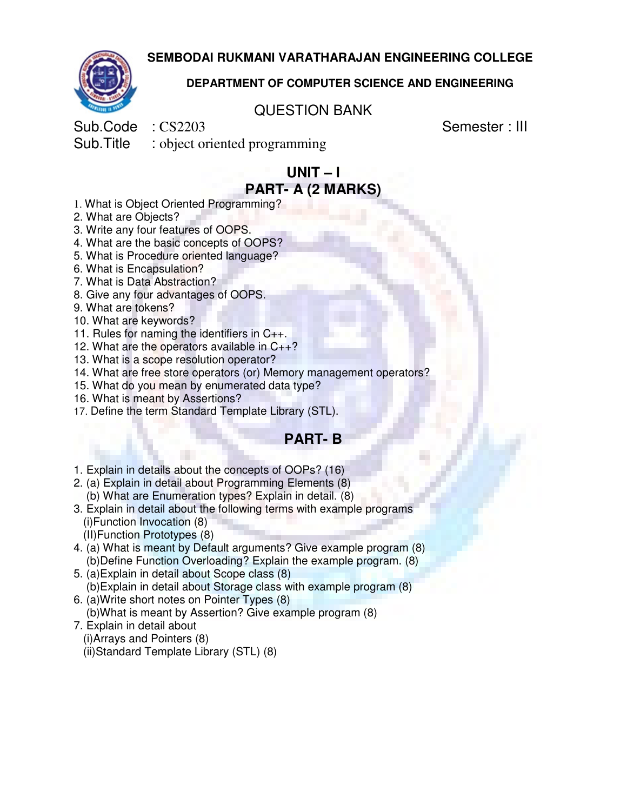**SEMBODAI RUKMANI VARATHARAJAN ENGINEERING COLLEGE** 



#### **DEPARTMENT OF COMPUTER SCIENCE AND ENGINEERING**

#### QUESTION BANK

Sub.Code : CS2203 Semester : III

Sub.Title : object oriented programming

# **UNIT – I PART- A (2 MARKS)**

- 1. What is Object Oriented Programming?
- 2. What are Objects?
- 3. Write any four features of OOPS.
- 4. What are the basic concepts of OOPS?
- 5. What is Procedure oriented language?
- 6. What is Encapsulation?
- 7. What is Data Abstraction?
- 8. Give any four advantages of OOPS.
- 9. What are tokens?
- 10. What are keywords?
- 11. Rules for naming the identifiers in C++.
- 12. What are the operators available in  $C_{++}$ ?
- 13. What is a scope resolution operator?
- 14. What are free store operators (or) Memory management operators?
- 15. What do you mean by enumerated data type?
- 16. What is meant by Assertions?
- 17. Define the term Standard Template Library (STL).

#### **PART- B**

- 1. Explain in details about the concepts of OOPs? (16)
- 2. (a) Explain in detail about Programming Elements (8) (b) What are Enumeration types? Explain in detail. (8)
- 3. Explain in detail about the following terms with example programs (i)Function Invocation (8)
	- (II)Function Prototypes (8)
- 4. (a) What is meant by Default arguments? Give example program (8) (b)Define Function Overloading? Explain the example program. (8)
- 5. (a)Explain in detail about Scope class (8) (b)Explain in detail about Storage class with example program (8)
- 6. (a)Write short notes on Pointer Types (8) (b)What is meant by Assertion? Give example program (8)
- 7. Explain in detail about
	- (i)Arrays and Pointers (8) (ii)Standard Template Library (STL) (8)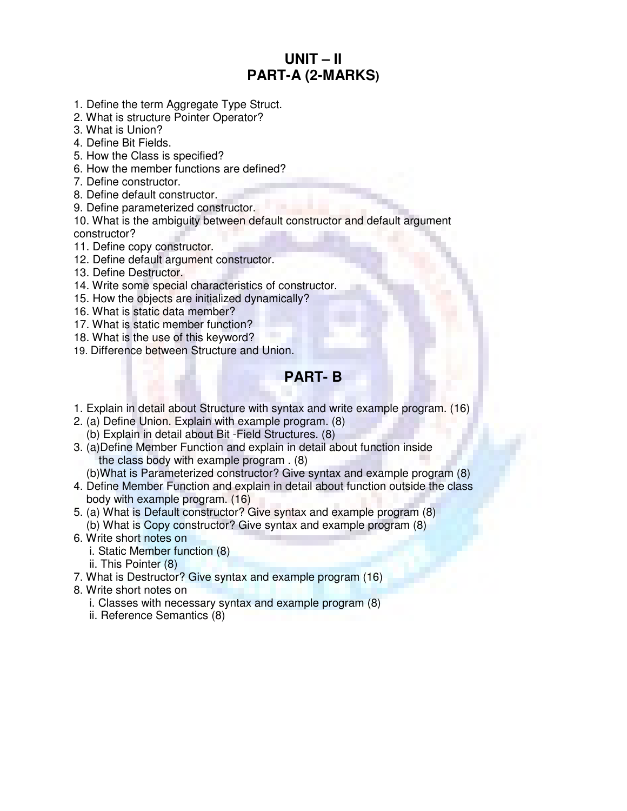# **UNIT – II PART-A (2-MARKS)**

- 1. Define the term Aggregate Type Struct.
- 2. What is structure Pointer Operator?
- 3. What is Union?
- 4. Define Bit Fields.
- 5. How the Class is specified?
- 6. How the member functions are defined?
- 7. Define constructor.
- 8. Define default constructor.
- 9. Define parameterized constructor.
- 10. What is the ambiguity between default constructor and default argument constructor?
- 11. Define copy constructor.
- 12. Define default argument constructor.
- 13. Define Destructor.
- 14. Write some special characteristics of constructor.
- 15. How the objects are initialized dynamically?
- 16. What is static data member?
- 17. What is static member function?
- 18. What is the use of this keyword?
- 19. Difference between Structure and Union.

### **PART- B**

- 1. Explain in detail about Structure with syntax and write example program. (16)
- 2. (a) Define Union. Explain with example program. (8) (b) Explain in detail about Bit -Field Structures. (8)
- 3. (a)Define Member Function and explain in detail about function inside the class body with example program . (8)
	- (b)What is Parameterized constructor? Give syntax and example program (8)
- 4. Define Member Function and explain in detail about function outside the class body with example program. (16)
- 5. (a) What is Default constructor? Give syntax and example program (8) (b) What is Copy constructor? Give syntax and example program (8)
- 6. Write short notes on
	- i. Static Member function (8)
	- ii. This Pointer (8)
- 7. What is Destructor? Give syntax and example program (16)
- 8. Write short notes on
	- i. Classes with necessary syntax and example program (8)
	- ii. Reference Semantics (8)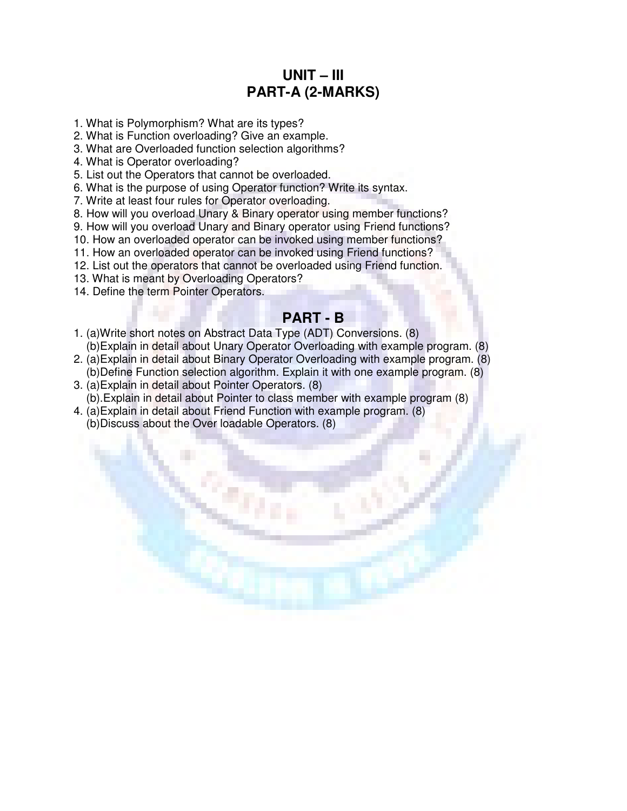## **UNIT – III PART-A (2-MARKS)**

- 1. What is Polymorphism? What are its types?
- 2. What is Function overloading? Give an example.
- 3. What are Overloaded function selection algorithms?
- 4. What is Operator overloading?
- 5. List out the Operators that cannot be overloaded.
- 6. What is the purpose of using Operator function? Write its syntax.
- 7. Write at least four rules for Operator overloading.
- 8. How will you overload Unary & Binary operator using member functions?
- 9. How will you overload Unary and Binary operator using Friend functions?
- 10. How an overloaded operator can be invoked using member functions?
- 11. How an overloaded operator can be invoked using Friend functions?
- 12. List out the operators that cannot be overloaded using Friend function.
- 13. What is meant by Overloading Operators?
- 14. Define the term Pointer Operators.

#### **PART - B**

- 1. (a)Write short notes on Abstract Data Type (ADT) Conversions. (8) (b)Explain in detail about Unary Operator Overloading with example program. (8)
- 2. (a)Explain in detail about Binary Operator Overloading with example program. (8) (b)Define Function selection algorithm. Explain it with one example program. (8)
- 3. (a)Explain in detail about Pointer Operators. (8) (b).Explain in detail about Pointer to class member with example program (8)
- 4. (a)Explain in detail about Friend Function with example program. (8) (b)Discuss about the Over loadable Operators. (8)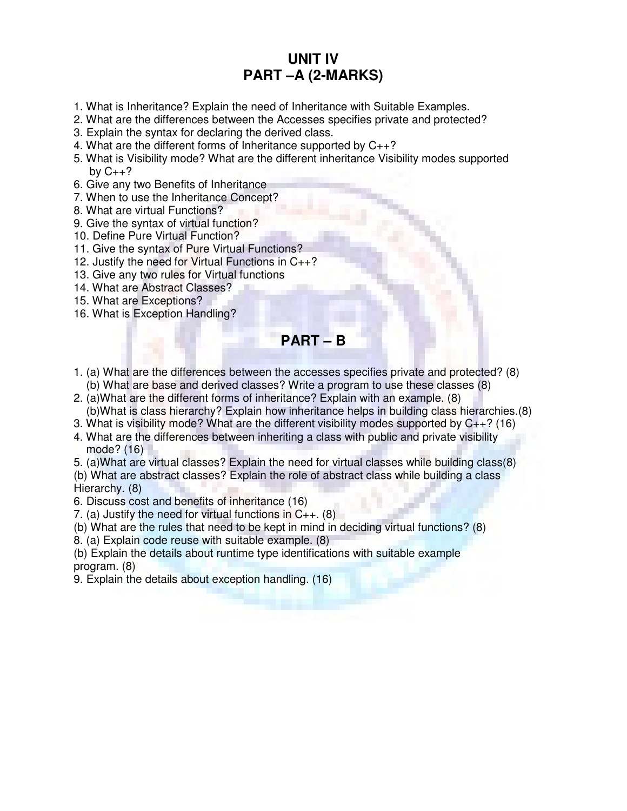## **UNIT IV PART –A (2-MARKS)**

- 1. What is Inheritance? Explain the need of Inheritance with Suitable Examples.
- 2. What are the differences between the Accesses specifies private and protected?
- 3. Explain the syntax for declaring the derived class.
- 4. What are the different forms of Inheritance supported by C++?
- 5. What is Visibility mode? What are the different inheritance Visibility modes supported by  $C_{++}$ ?
- 6. Give any two Benefits of Inheritance
- 7. When to use the Inheritance Concept?
- 8. What are virtual Functions?
- 9. Give the syntax of virtual function?
- 10. Define Pure Virtual Function?
- 11. Give the syntax of Pure Virtual Functions?
- 12. Justify the need for Virtual Functions in C++?
- 13. Give any two rules for Virtual functions
- 14. What are Abstract Classes?
- 15. What are Exceptions?
- 16. What is Exception Handling?

**PART – B** 

- 1. (a) What are the differences between the accesses specifies private and protected? (8) (b) What are base and derived classes? Write a program to use these classes (8)
- 2. (a)What are the different forms of inheritance? Explain with an example. (8) (b)What is class hierarchy? Explain how inheritance helps in building class hierarchies.(8)
- 3. What is visibility mode? What are the different visibility modes supported by C++? (16)
- 4. What are the differences between inheriting a class with public and private visibility mode? (16)
- 5. (a)What are virtual classes? Explain the need for virtual classes while building class(8)

(b) What are abstract classes? Explain the role of abstract class while building a class Hierarchy. (8)

- 6. Discuss cost and benefits of inheritance (16)
- 7. (a) Justify the need for virtual functions in  $C_{++}$ . (8)
- (b) What are the rules that need to be kept in mind in deciding virtual functions? (8)
- 8. (a) Explain code reuse with suitable example. (8)

(b) Explain the details about runtime type identifications with suitable example program. (8)

9. Explain the details about exception handling. (16)